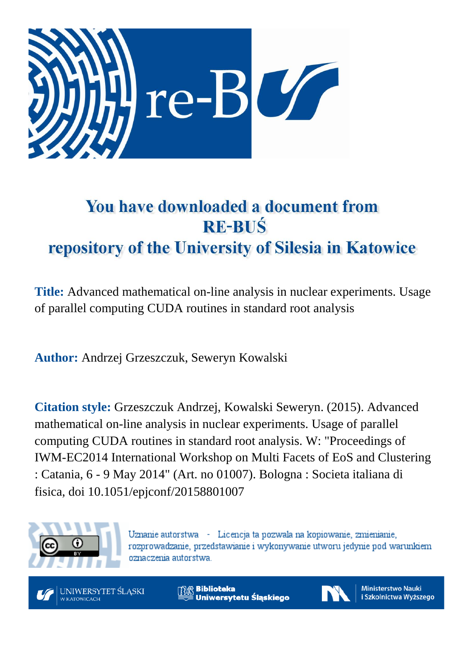

# You have downloaded a document from **RE-BUŚ** repository of the University of Silesia in Katowice

**Title:** Advanced mathematical on-line analysis in nuclear experiments. Usage of parallel computing CUDA routines in standard root analysis

**Author:** Andrzej Grzeszczuk, Seweryn Kowalski

**Citation style:** Grzeszczuk Andrzej, Kowalski Seweryn. (2015). Advanced mathematical on-line analysis in nuclear experiments. Usage of parallel computing CUDA routines in standard root analysis. W: "Proceedings of IWM-EC2014 International Workshop on Multi Facets of EoS and Clustering : Catania, 6 - 9 May 2014" (Art. no 01007). Bologna : Societa italiana di fisica, doi 10.1051/epjconf/20158801007



Uznanie autorstwa - Licencja ta pozwala na kopiowanie, zmienianie, rozprowadzanie, przedstawianie i wykonywanie utworu jedynie pod warunkiem oznaczenia autorstwa.



**Biblioteka** Uniwersytetu Śląskiego



**Ministerstwo Nauki** i Szkolnictwa Wyższego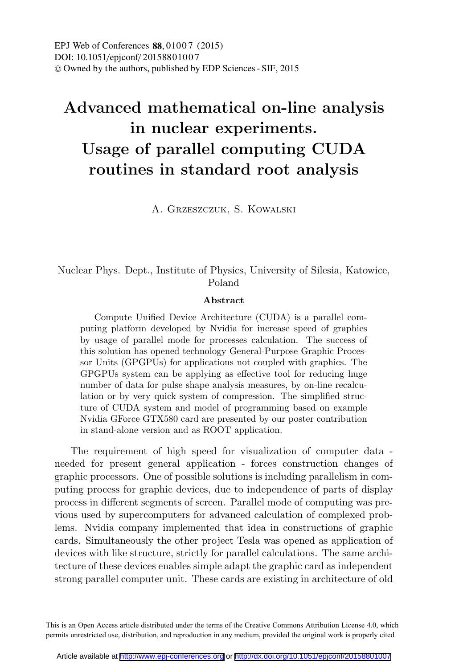DOI: 10.1051/epjconf/20158801007 -<sup>C</sup> Owned by the authors, published by EDP Sciences - SIF, 2015 EPJ Web of Conferences 88, 01007 (2015)

## **Advanced mathematical on-line analysis in nuclear experiments. Usage of parallel computing CUDA routines in standard root analysis**

A. Grzeszczuk, S. Kowalski

#### Nuclear Phys. Dept., Institute of Physics, University of Silesia, Katowice, Poland

#### **Abstract**

Compute Unified Device Architecture (CUDA) is a parallel computing platform developed by Nvidia for increase speed of graphics by usage of parallel mode for processes calculation. The success of this solution has opened technology General-Purpose Graphic Processor Units (GPGPUs) for applications not coupled with graphics. The GPGPUs system can be applying as effective tool for reducing huge number of data for pulse shape analysis measures, by on-line recalculation or by very quick system of compression. The simplified structure of CUDA system and model of programming based on example Nvidia GForce GTX580 card are presented by our poster contribution in stand-alone version and as ROOT application.

The requirement of high speed for visualization of computer data needed for present general application - forces construction changes of graphic processors. One of possible solutions is including parallelism in computing process for graphic devices, due to independence of parts of display process in different segments of screen. Parallel mode of computing was previous used by supercomputers for advanced calculation of complexed problems. Nvidia company implemented that idea in constructions of graphic cards. Simultaneously the other project Tesla was opened as application of devices with like structure, strictly for parallel calculations. The same architecture of these devices enables simple adapt the graphic card as independent strong parallel computer unit. These cards are existing in architecture of old

This is an Open Access article distributed under the terms of the Creative Commons Attribution License 4.0, which permits unrestricted use, distribution, and reproduction in any medium, provided the original work is properly cited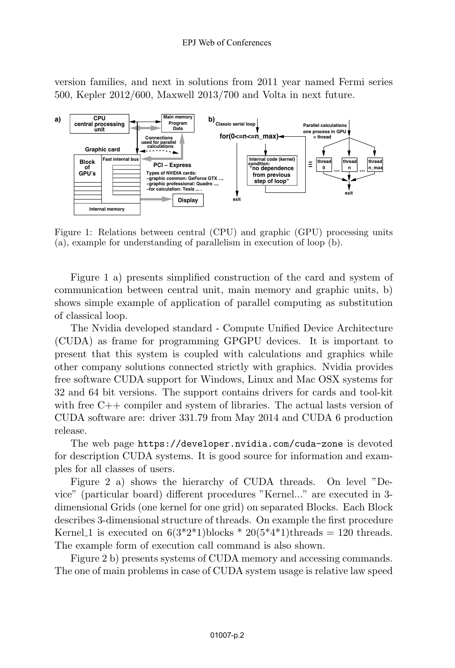version families, and next in solutions from 2011 year named Fermi series 500, Kepler 2012/600, Maxwell 2013/700 and Volta in next future.



Figure 1: Relations between central (CPU) and graphic (GPU) processing units (a), example for understanding of parallelism in execution of loop (b).

Figure 1 a) presents simplified construction of the card and system of communication between central unit, main memory and graphic units, b) shows simple example of application of parallel computing as substitution of classical loop.

The Nvidia developed standard - Compute Unified Device Architecture (CUDA) as frame for programming GPGPU devices. It is important to present that this system is coupled with calculations and graphics while other company solutions connected strictly with graphics. Nvidia provides free software CUDA support for Windows, Linux and Mac OSX systems for 32 and 64 bit versions. The support contains drivers for cards and tool-kit with free C++ compiler and system of libraries. The actual lasts version of CUDA software are: driver 331.79 from May 2014 and CUDA 6 production release.

The web page https://developer.nvidia.com/cuda-zone is devoted for description CUDA systems. It is good source for information and examples for all classes of users.

Figure 2 a) shows the hierarchy of CUDA threads. On level "Device" (particular board) different procedures "Kernel..." are executed in 3 dimensional Grids (one kernel for one grid) on separated Blocks. Each Block describes 3-dimensional structure of threads. On example the first procedure Kernel 1 is executed on  $6(3^*2^*1)$ blocks  $* 20(5^*4^*1)$ threads = 120 threads. The example form of execution call command is also shown.

Figure 2 b) presents systems of CUDA memory and accessing commands. The one of main problems in case of CUDA system usage is relative law speed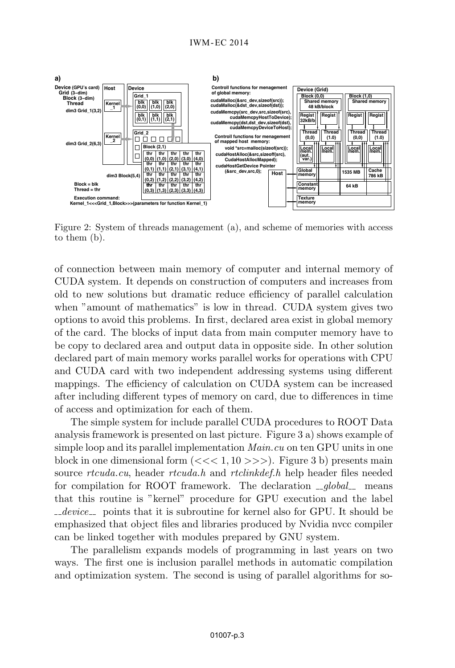

Figure 2: System of threads management (a), and scheme of memories with access to them (b).

of connection between main memory of computer and internal memory of CUDA system. It depends on construction of computers and increases from old to new solutions but dramatic reduce efficiency of parallel calculation when "amount of mathematics" is low in thread. CUDA system gives two options to avoid this problems. In first, declared area exist in global memory of the card. The blocks of input data from main computer memory have to be copy to declared area and output data in opposite side. In other solution declared part of main memory works parallel works for operations with CPU and CUDA card with two independent addressing systems using different mappings. The efficiency of calculation on CUDA system can be increased after including different types of memory on card, due to differences in time of access and optimization for each of them.

The simple system for include parallel CUDA procedures to ROOT Data analysis framework is presented on last picture. Figure 3 a) shows example of simple loop and its parallel implementation  $Main.cu$  on ten GPU units in one block in one dimensional form  $\left(\ll\ll1,10\gg\gg\right)$ . Figure 3 b) presents main source rtcuda.cu, header rtcuda.h and rtclinkdef.h help header files needed for compilation for ROOT framework. The declaration  $_{-q}$  dobal means that this routine is "kernel" procedure for GPU execution and the label  $devec$  points that it is subroutine for kernel also for GPU. It should be emphasized that object files and libraries produced by Nvidia nvcc compiler can be linked together with modules prepared by GNU system.

The parallelism expands models of programming in last years on two ways. The first one is inclusion parallel methods in automatic compilation and optimization system. The second is using of parallel algorithms for so-